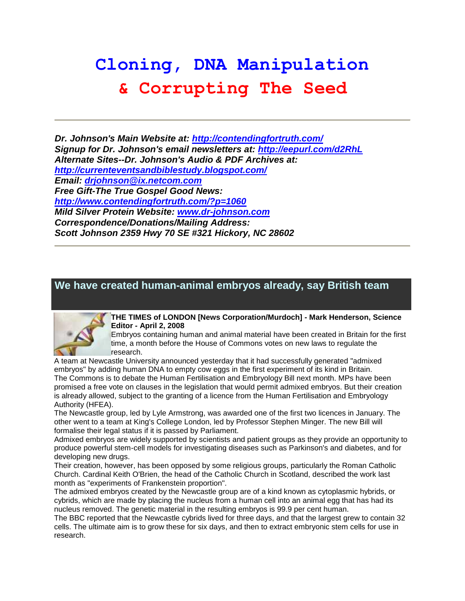# **Cloning, DNA Manipulation & Corrupting The Seed**

*Dr. Johnson's Main Website at:<http://contendingfortruth.com/> Signup for Dr. Johnson's email newsletters at:<http://eepurl.com/d2RhL> Alternate Sites--Dr. Johnson's Audio & PDF Archives at: <http://currenteventsandbiblestudy.blogspot.com/> Email: [drjohnson@ix.netcom.com](mailto:drjohnson@ix.netcom.com) Free Gift-The True Gospel Good News: <http://www.contendingfortruth.com/?p=1060> Mild Silver Protein Website: [www.dr-johnson.com](http://www.dr-johnson.com/) Correspondence/Donations/Mailing Address: Scott Johnson 2359 Hwy 70 SE #321 Hickory, NC 28602*

# **We have created human-animal embryos already, say British team**



**THE TIMES of LONDON [News Corporation/Murdoch] - Mark Henderson, Science Editor - April 2, 2008**

Embryos containing human and animal material have been created in Britain for the first time, a month before the House of Commons votes on new laws to regulate the research.

A team at Newcastle University announced yesterday that it had successfully generated "admixed embryos" by adding human DNA to empty cow eggs in the first experiment of its kind in Britain. The Commons is to debate the Human Fertilisation and Embryology Bill next month. MPs have been promised a free vote on clauses in the legislation that would permit admixed embryos. But their creation is already allowed, subject to the granting of a licence from the Human Fertilisation and Embryology Authority (HFEA).

The Newcastle group, led by Lyle Armstrong, was awarded one of the first two licences in January. The other went to a team at King's College London, led by Professor Stephen Minger. The new Bill will formalise their legal status if it is passed by Parliament.

Admixed embryos are widely supported by scientists and patient groups as they provide an opportunity to produce powerful stem-cell models for investigating diseases such as Parkinson's and diabetes, and for developing new drugs.

Their creation, however, has been opposed by some religious groups, particularly the Roman Catholic Church. Cardinal Keith O'Brien, the head of the Catholic Church in Scotland, described the work last month as "experiments of Frankenstein proportion".

The admixed embryos created by the Newcastle group are of a kind known as cytoplasmic hybrids, or cybrids, which are made by placing the nucleus from a human cell into an animal egg that has had its nucleus removed. The genetic material in the resulting embryos is 99.9 per cent human.

The BBC reported that the Newcastle cybrids lived for three days, and that the largest grew to contain 32 cells. The ultimate aim is to grow these for six days, and then to extract embryonic stem cells for use in research.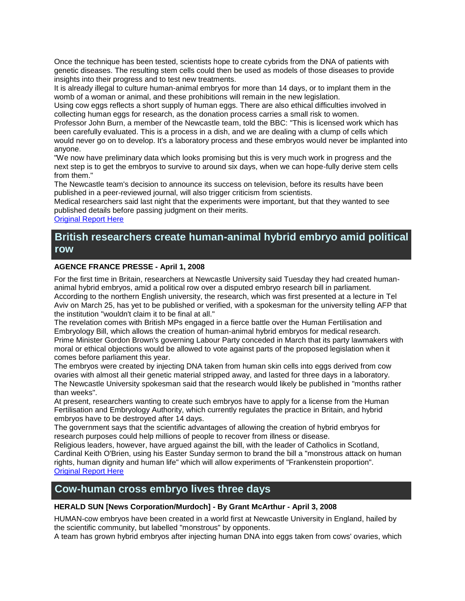Once the technique has been tested, scientists hope to create cybrids from the DNA of patients with genetic diseases. The resulting stem cells could then be used as models of those diseases to provide insights into their progress and to test new treatments.

It is already illegal to culture human-animal embryos for more than 14 days, or to implant them in the womb of a woman or animal, and these prohibitions will remain in the new legislation.

Using cow eggs reflects a short supply of human eggs. There are also ethical difficulties involved in collecting human eggs for research, as the donation process carries a small risk to women.

Professor John Burn, a member of the Newcastle team, told the BBC: "This is licensed work which has been carefully evaluated. This is a process in a dish, and we are dealing with a clump of cells which would never go on to develop. It's a laboratory process and these embryos would never be implanted into anyone.

"We now have preliminary data which looks promising but this is very much work in progress and the next step is to get the embryos to survive to around six days, when we can hope-fully derive stem cells from them."

The Newcastle team's decision to announce its success on television, before its results have been published in a peer-reviewed journal, will also trigger criticism from scientists.

Medical researchers said last night that the experiments were important, but that they wanted to see published details before passing judgment on their merits.

[Original Report Here](http://rs6.net/tn.jsp?e=001R8_aBgaZGCaGTOksiMc9MGotSVLclbYW5bqL3GyfetGR5IFY4Vo_TcLXZJZQGObEd5Su-0rLvx_DG49EX5fr3JhrDhHERnZSNYCzOnY9wm7hP32z31CSI8PaD0Yp2xtDKzTqLeFr4V3rBWNfx1TWT_sbyKegYgQkKdeuE8HBqgqYkhvA92vXxL1EkkJ7kFzn)

### **British researchers create human-animal hybrid embryo amid political row**

### **AGENCE FRANCE PRESSE - April 1, 2008**

For the first time in Britain, researchers at Newcastle University said Tuesday they had created humananimal hybrid embryos, amid a political row over a disputed embryo research bill in parliament. According to the northern English university, the research, which was first presented at a lecture in Tel Aviv on March 25, has yet to be published or verified, with a spokesman for the university telling AFP that the institution "wouldn't claim it to be final at all."

The revelation comes with British MPs engaged in a fierce battle over the Human Fertilisation and Embryology Bill, which allows the creation of human-animal hybrid embryos for medical research. Prime Minister Gordon Brown's governing Labour Party conceded in March that its party lawmakers with moral or ethical objections would be allowed to vote against parts of the proposed legislation when it comes before parliament this year.

The embryos were created by injecting DNA taken from human skin cells into eggs derived from cow ovaries with almost all their genetic material stripped away, and lasted for three days in a laboratory. The Newcastle University spokesman said that the research would likely be published in "months rather than weeks".

At present, researchers wanting to create such embryos have to apply for a license from the Human Fertilisation and Embryology Authority, which currently regulates the practice in Britain, and hybrid embryos have to be destroyed after 14 days.

The government says that the scientific advantages of allowing the creation of hybrid embryos for research purposes could help millions of people to recover from illness or disease.

Religious leaders, however, have argued against the bill, with the leader of Catholics in Scotland, Cardinal Keith O'Brien, using his Easter Sunday sermon to brand the bill a "monstrous attack on human rights, human dignity and human life" which will allow experiments of "Frankenstein proportion". [Original Report Here](http://rs6.net/tn.jsp?e=001R8_aBgaZGCbyiaP-2WeIf7srOr4h8Uy0-ix2FD8cYCwlNaD6gWkF5MHO2NWOwXsKqNBRuZoG8hQZxdcQ9Y8QVeVnn3ZfLd8R35emBYTUkpb3F0LJlvkOEIA8RcUZ-2p7E9ahoO9SoJ_wIsbFj0nDKl9RE8pAqsTlqmpwQcdRsqs3XA4YEIh96ASQXfMDxA6c)

# **Cow-human cross embryo lives three days**

### **HERALD SUN [News Corporation/Murdoch] - By Grant McArthur - April 3, 2008**

HUMAN-cow embryos have been created in a world first at Newcastle University in England, hailed by the scientific community, but labelled "monstrous" by opponents.

A team has grown hybrid embryos after injecting human DNA into eggs taken from cows' ovaries, which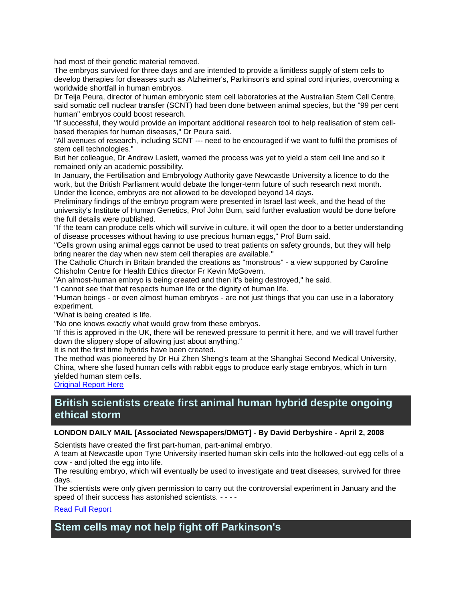had most of their genetic material removed.

The embryos survived for three days and are intended to provide a limitless supply of stem cells to develop therapies for diseases such as Alzheimer's, Parkinson's and spinal cord injuries, overcoming a worldwide shortfall in human embryos.

Dr Teija Peura, director of human embryonic stem cell laboratories at the Australian Stem Cell Centre, said somatic cell nuclear transfer (SCNT) had been done between animal species, but the "99 per cent human" embryos could boost research.

"If successful, they would provide an important additional research tool to help realisation of stem cellbased therapies for human diseases," Dr Peura said.

"All avenues of research, including SCNT --- need to be encouraged if we want to fulfil the promises of stem cell technologies."

But her colleague, Dr Andrew Laslett, warned the process was yet to yield a stem cell line and so it remained only an academic possibility.

In January, the Fertilisation and Embryology Authority gave Newcastle University a licence to do the work, but the British Parliament would debate the longer-term future of such research next month. Under the licence, embryos are not allowed to be developed beyond 14 days.

Preliminary findings of the embryo program were presented in Israel last week, and the head of the university's Institute of Human Genetics, Prof John Burn, said further evaluation would be done before the full details were published.

"If the team can produce cells which will survive in culture, it will open the door to a better understanding of disease processes without having to use precious human eggs," Prof Burn said.

"Cells grown using animal eggs cannot be used to treat patients on safety grounds, but they will help bring nearer the day when new stem cell therapies are available."

The Catholic Church in Britain branded the creations as "monstrous" - a view supported by Caroline Chisholm Centre for Health Ethics director Fr Kevin McGovern.

"An almost-human embryo is being created and then it's being destroyed," he said.

"I cannot see that that respects human life or the dignity of human life.

"Human beings - or even almost human embryos - are not just things that you can use in a laboratory experiment.

"What is being created is life.

"No one knows exactly what would grow from these embryos.

"If this is approved in the UK, there will be renewed pressure to permit it here, and we will travel further down the slippery slope of allowing just about anything."

It is not the first time hybrids have been created.

The method was pioneered by Dr Hui Zhen Sheng's team at the Shanghai Second Medical University, China, where she fused human cells with rabbit eggs to produce early stage embryos, which in turn yielded human stem cells.

[Original Report Here](http://rs6.net/tn.jsp?e=001R8_aBgaZGCY_mxaU8A-QW7BmBjo2nUJMKBDjmPSfCWIsfEwfsOoDRk0do3yWAiopH8Pfffv5fRlBxx8JvmXsSkB0yslZ3kHIoOaNksQNIwskZS8xUqWx98qB5Bkjirzng_eqjkKpIsbDGf41kHYcOlvaLN9h-t2P9vaMc1alOe8fqLKDPNOz2m2xwhbOzrYT0rMob3jHAMg=)

### **British scientists create first animal human hybrid despite ongoing ethical storm**

### **LONDON DAILY MAIL [Associated Newspapers/DMGT] - By David Derbyshire - April 2, 2008**

Scientists have created the first part-human, part-animal embryo.

A team at Newcastle upon Tyne University inserted human skin cells into the hollowed-out egg cells of a cow - and jolted the egg into life.

The resulting embryo, which will eventually be used to investigate and treat diseases, survived for three days.

The scientists were only given permission to carry out the controversial experiment in January and the speed of their success has astonished scientists. - - - -

### [Read Full Report](http://rs6.net/tn.jsp?e=001R8_aBgaZGCZN2fleRvoKWSktKB77jRq3qpCfLG4ihb5Uvx9pOFMMpfc2LHZ4lLVZo4rUy4OacR9gU3xiZvZvi4qLTZZGkbLNYMvQNY4Pf_7oyY_9IB2-9Rx32Tf2WJ8waxP03Cu9MR0GZv8JRHfviJ2SgooYMLH5vB2u6OmZNQOveZVFWgG8aqj9TTJQrqQ2v3fJBmjmsZFDsheNub939an09pi9-PyhuQlTUYJJXgw=)

# **Stem cells may not help fight off Parkinson's**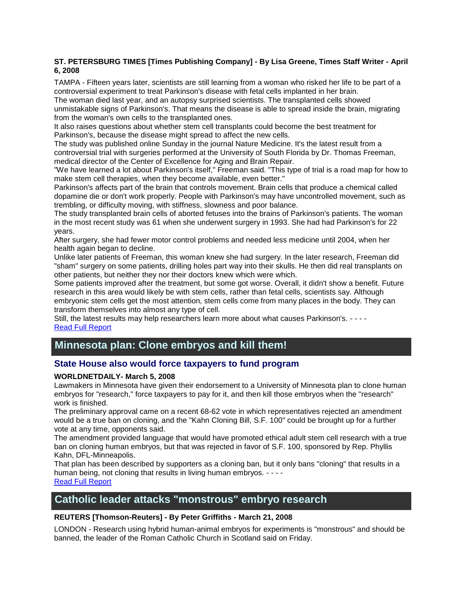### **ST. PETERSBURG TIMES [Times Publishing Company] - By Lisa Greene, Times Staff Writer - April 6, 2008**

TAMPA - Fifteen years later, scientists are still learning from a woman who risked her life to be part of a controversial experiment to treat Parkinson's disease with fetal cells implanted in her brain.

The woman died last year, and an autopsy surprised scientists. The transplanted cells showed unmistakable signs of Parkinson's. That means the disease is able to spread inside the brain, migrating from the woman's own cells to the transplanted ones.

It also raises questions about whether stem cell transplants could become the best treatment for Parkinson's, because the disease might spread to affect the new cells.

The study was published online Sunday in the journal Nature Medicine. It's the latest result from a controversial trial with surgeries performed at the University of South Florida by Dr. Thomas Freeman, medical director of the Center of Excellence for Aging and Brain Repair.

"We have learned a lot about Parkinson's itself," Freeman said. "This type of trial is a road map for how to make stem cell therapies, when they become available, even better."

Parkinson's affects part of the brain that controls movement. Brain cells that produce a chemical called dopamine die or don't work properly. People with Parkinson's may have uncontrolled movement, such as trembling, or difficulty moving, with stiffness, slowness and poor balance.

The study transplanted brain cells of aborted fetuses into the brains of Parkinson's patients. The woman in the most recent study was 61 when she underwent surgery in 1993. She had had Parkinson's for 22 years.

After surgery, she had fewer motor control problems and needed less medicine until 2004, when her health again began to decline.

Unlike later patients of Freeman, this woman knew she had surgery. In the later research, Freeman did "sham" surgery on some patients, drilling holes part way into their skulls. He then did real transplants on other patients, but neither they nor their doctors knew which were which.

Some patients improved after the treatment, but some got worse. Overall, it didn't show a benefit. Future research in this area would likely be with stem cells, rather than fetal cells, scientists say. Although embryonic stem cells get the most attention, stem cells come from many places in the body. They can transform themselves into almost any type of cell.

Still, the latest results may help researchers learn more about what causes Parkinson's. - - - - [Read Full Report](http://rs6.net/tn.jsp?e=001R8_aBgaZGCa2w2tGUTxBXAaq3mS4KPu_Mv_rYZYHrXFrg8G-OL8LnTjPGqRMEb0lzxKqQwEG9cSWe3GMEsbhRtSztBOmp8WUAavFGxA0iSzvSnU-FttF1Iv9JxVV_ukOrXlzwf1Em4-NLlR-TIOsfkyGx9qdfvTN_bXYMsUbCy4=)

# **Minnesota plan: Clone embryos and kill them!**

### **State House also would force taxpayers to fund program**

### **WORLDNETDAILY- March 5, 2008**

Lawmakers in Minnesota have given their endorsement to a University of Minnesota plan to clone human embryos for "research," force taxpayers to pay for it, and then kill those embryos when the "research" work is finished.

The preliminary approval came on a recent 68-62 vote in which representatives rejected an amendment would be a true ban on cloning, and the "Kahn Cloning Bill, S.F. 100" could be brought up for a further vote at any time, opponents said.

The amendment provided language that would have promoted ethical adult stem cell research with a true ban on cloning human embryos, but that was rejected in favor of S.F. 100, sponsored by Rep. Phyllis Kahn, DFL-Minneapolis.

That plan has been described by supporters as a cloning ban, but it only bans "cloning" that results in a human being, not cloning that results in living human embryos. - - - -

[Read Full Report](http://rs6.net/tn.jsp?e=001R8_aBgaZGCYnAPV8pH1VnXqs6L_PX_Ohhr32SEU91T27WtAYKCJ6oxc1ag4X1htp00DtYXJspmoVuY1krQXEzrDV1eile88V7qrAgesnRJ0j-qDcJqeJfSBKnvjthLuJYWODdGdNN7Q=)

# **Catholic leader attacks "monstrous" embryo research**

### **REUTERS [Thomson-Reuters] - By Peter Griffiths - March 21, 2008**

LONDON - Research using hybrid human-animal embryos for experiments is "monstrous" and should be banned, the leader of the Roman Catholic Church in Scotland said on Friday.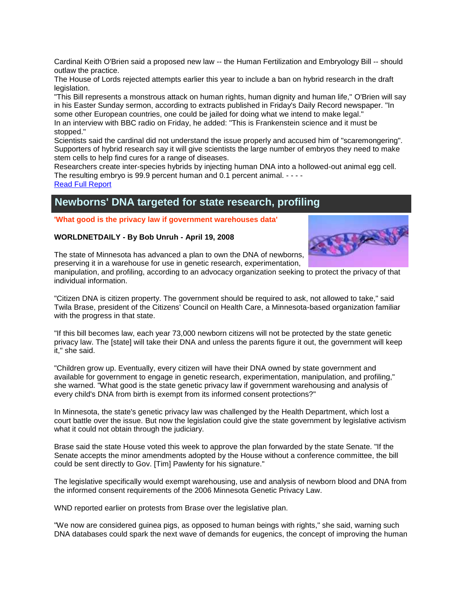Cardinal Keith O'Brien said a proposed new law -- the Human Fertilization and Embryology Bill -- should outlaw the practice.

The House of Lords rejected attempts earlier this year to include a ban on hybrid research in the draft legislation.

"This Bill represents a monstrous attack on human rights, human dignity and human life," O'Brien will say in his Easter Sunday sermon, according to extracts published in Friday's Daily Record newspaper. "In some other European countries, one could be jailed for doing what we intend to make legal."

In an interview with BBC radio on Friday, he added: "This is Frankenstein science and it must be stopped."

Scientists said the cardinal did not understand the issue properly and accused him of "scaremongering". Supporters of hybrid research say it will give scientists the large number of embryos they need to make stem cells to help find cures for a range of diseases.

Researchers create inter-species hybrids by injecting human DNA into a hollowed-out animal egg cell. The resulting embryo is 99.9 percent human and 0.1 percent animal. - - - -

### [Read Full Report](http://rs6.net/tn.jsp?e=001R8_aBgaZGCYlJLbIoXrLpM3OBKRyeacCjl2vyovq-bysNowJT0fEA3ABCZeHQchG6vrpQNQWRml7elz7ktNEPLv0MkHPKaQ6gROuzmlBhdwtbBpFxQat0pDxQfYKEsmgXG660HEehuaMhApDD3IbYNzdejlVKJdo9glkxwKQ_kX975U_1iNJDHbRFjXLjcPgpnrk5UOigzjVcvodkAXseFLXXTJbKonIsHlCpPC8B6hg9CSMR6GAJHbIxi5EESDv)

# **Newborns' DNA targeted for state research, profiling**

**'What good is the privacy law if government warehouses data'**

### **WORLDNETDAILY - By Bob Unruh - April 19, 2008**



The state of Minnesota has advanced a plan to own the DNA of newborns, preserving it in a warehouse for use in genetic research, experimentation,

manipulation, and profiling, according to an advocacy organization seeking to protect the privacy of that individual information.

"Citizen DNA is citizen property. The government should be required to ask, not allowed to take," said Twila Brase, president of the Citizens' Council on Health Care, a Minnesota-based organization familiar with the progress in that state.

"If this bill becomes law, each year 73,000 newborn citizens will not be protected by the state genetic privacy law. The [state] will take their DNA and unless the parents figure it out, the government will keep it," she said.

"Children grow up. Eventually, every citizen will have their DNA owned by state government and available for government to engage in genetic research, experimentation, manipulation, and profiling," she warned. "What good is the state genetic privacy law if government warehousing and analysis of every child's DNA from birth is exempt from its informed consent protections?"

In Minnesota, the state's genetic privacy law was challenged by the Health Department, which lost a court battle over the issue. But now the legislation could give the state government by legislative activism what it could not obtain through the judiciary.

Brase said the state House voted this week to approve the plan forwarded by the state Senate. "If the Senate accepts the minor amendments adopted by the House without a conference committee, the bill could be sent directly to Gov. [Tim] Pawlenty for his signature."

The legislative specifically would exempt warehousing, use and analysis of newborn blood and DNA from the informed consent requirements of the 2006 Minnesota Genetic Privacy Law.

WND reported earlier on protests from Brase over the legislative plan.

"We now are considered guinea pigs, as opposed to human beings with rights," she said, warning such DNA databases could spark the next wave of demands for eugenics, the concept of improving the human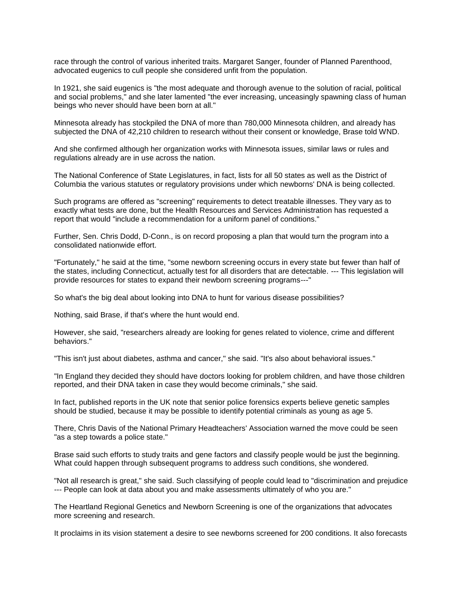race through the control of various inherited traits. Margaret Sanger, founder of Planned Parenthood, advocated eugenics to cull people she considered unfit from the population.

In 1921, she said eugenics is "the most adequate and thorough avenue to the solution of racial, political and social problems," and she later lamented "the ever increasing, unceasingly spawning class of human beings who never should have been born at all."

Minnesota already has stockpiled the DNA of more than 780,000 Minnesota children, and already has subjected the DNA of 42,210 children to research without their consent or knowledge, Brase told WND.

And she confirmed although her organization works with Minnesota issues, similar laws or rules and regulations already are in use across the nation.

The National Conference of State Legislatures, in fact, lists for all 50 states as well as the District of Columbia the various statutes or regulatory provisions under which newborns' DNA is being collected.

Such programs are offered as "screening" requirements to detect treatable illnesses. They vary as to exactly what tests are done, but the Health Resources and Services Administration has requested a report that would "include a recommendation for a uniform panel of conditions."

Further, Sen. Chris Dodd, D-Conn., is on record proposing a plan that would turn the program into a consolidated nationwide effort.

"Fortunately," he said at the time, "some newborn screening occurs in every state but fewer than half of the states, including Connecticut, actually test for all disorders that are detectable. --- This legislation will provide resources for states to expand their newborn screening programs---"

So what's the big deal about looking into DNA to hunt for various disease possibilities?

Nothing, said Brase, if that's where the hunt would end.

However, she said, "researchers already are looking for genes related to violence, crime and different behaviors."

"This isn't just about diabetes, asthma and cancer," she said. "It's also about behavioral issues."

"In England they decided they should have doctors looking for problem children, and have those children reported, and their DNA taken in case they would become criminals," she said.

In fact, published reports in the UK note that senior police forensics experts believe genetic samples should be studied, because it may be possible to identify potential criminals as young as age 5.

There, Chris Davis of the National Primary Headteachers' Association warned the move could be seen "as a step towards a police state."

Brase said such efforts to study traits and gene factors and classify people would be just the beginning. What could happen through subsequent programs to address such conditions, she wondered.

"Not all research is great," she said. Such classifying of people could lead to "discrimination and prejudice --- People can look at data about you and make assessments ultimately of who you are."

The Heartland Regional Genetics and Newborn Screening is one of the organizations that advocates more screening and research.

It proclaims in its vision statement a desire to see newborns screened for 200 conditions. It also forecasts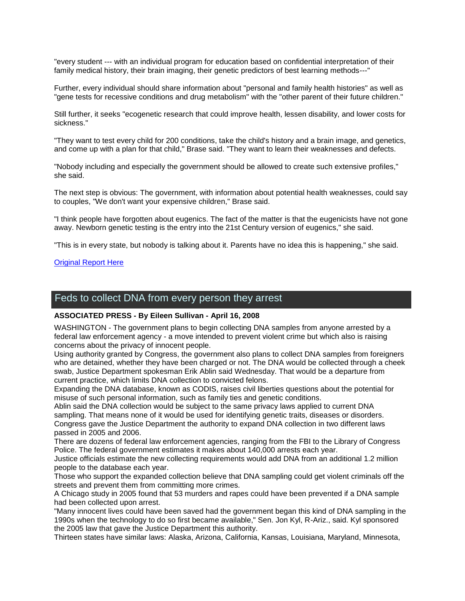"every student --- with an individual program for education based on confidential interpretation of their family medical history, their brain imaging, their genetic predictors of best learning methods---"

Further, every individual should share information about "personal and family health histories" as well as "gene tests for recessive conditions and drug metabolism" with the "other parent of their future children."

Still further, it seeks "ecogenetic research that could improve health, lessen disability, and lower costs for sickness."

"They want to test every child for 200 conditions, take the child's history and a brain image, and genetics, and come up with a plan for that child," Brase said. "They want to learn their weaknesses and defects.

"Nobody including and especially the government should be allowed to create such extensive profiles," she said.

The next step is obvious: The government, with information about potential health weaknesses, could say to couples, "We don't want your expensive children," Brase said.

"I think people have forgotten about eugenics. The fact of the matter is that the eugenicists have not gone away. Newborn genetic testing is the entry into the 21st Century version of eugenics," she said.

"This is in every state, but nobody is talking about it. Parents have no idea this is happening," she said.

### [Original Report Here](http://rs6.net/tn.jsp?e=001R8_aBgaZGCZHpzgpMEVtUR7ZBgvTTPfijmBJ-uFIGxnZalAE38mjGJHJ5Q_lvdtifF_nzyM-FB3-ZxePoGs1tYoYRGkPTygF8SmilWRGwtHYLS7Jl825u9zbEsver8eW0wXD7GgwMNE=)

### Feds to collect DNA from every person they arrest

#### **ASSOCIATED PRESS - By Eileen Sullivan - April 16, 2008**

WASHINGTON - The government plans to begin collecting DNA samples from anyone arrested by a federal law enforcement agency - a move intended to prevent violent crime but which also is raising concerns about the privacy of innocent people.

Using authority granted by Congress, the government also plans to collect DNA samples from foreigners who are detained, whether they have been charged or not. The DNA would be collected through a cheek swab, Justice Department spokesman Erik Ablin said Wednesday. That would be a departure from current practice, which limits DNA collection to convicted felons.

Expanding the DNA database, known as CODIS, raises civil liberties questions about the potential for misuse of such personal information, such as family ties and genetic conditions.

Ablin said the DNA collection would be subject to the same privacy laws applied to current DNA sampling. That means none of it would be used for identifying genetic traits, diseases or disorders. Congress gave the Justice Department the authority to expand DNA collection in two different laws passed in 2005 and 2006.

There are dozens of federal law enforcement agencies, ranging from the FBI to the Library of Congress Police. The federal government estimates it makes about 140,000 arrests each year.

Justice officials estimate the new collecting requirements would add DNA from an additional 1.2 million people to the database each year.

Those who support the expanded collection believe that DNA sampling could get violent criminals off the streets and prevent them from committing more crimes.

A Chicago study in 2005 found that 53 murders and rapes could have been prevented if a DNA sample had been collected upon arrest.

"Many innocent lives could have been saved had the government began this kind of DNA sampling in the 1990s when the technology to do so first became available," Sen. Jon Kyl, R-Ariz., said. Kyl sponsored the 2005 law that gave the Justice Department this authority.

Thirteen states have similar laws: Alaska, Arizona, California, Kansas, Louisiana, Maryland, Minnesota,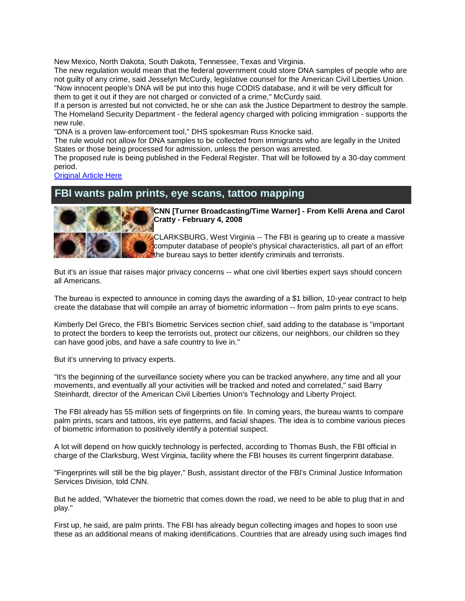New Mexico, North Dakota, South Dakota, Tennessee, Texas and Virginia.

The new regulation would mean that the federal government could store DNA samples of people who are not guilty of any crime, said Jesselyn McCurdy, legislative counsel for the American Civil Liberties Union. "Now innocent people's DNA will be put into this huge CODIS database, and it will be very difficult for them to get it out if they are not charged or convicted of a crime," McCurdy said.

If a person is arrested but not convicted, he or she can ask the Justice Department to destroy the sample. The Homeland Security Department - the federal agency charged with policing immigration - supports the new rule.

"DNA is a proven law-enforcement tool," DHS spokesman Russ Knocke said.

The rule would not allow for DNA samples to be collected from immigrants who are legally in the United States or those being processed for admission, unless the person was arrested.

The proposed rule is being published in the Federal Register. That will be followed by a 30-day comment period.

[Original Article Here](http://rs6.net/tn.jsp?e=001R8_aBgaZGCbrOXxFF2JEn_A7FlfbDaunpe0qh5DTLz3YLKMh36PmqGoP-JOB0aJ4d9m9Ip-ldPGe7rZE5z66FGXEHWCs_As0g4khao0ExBq9-7aCilC3gsoXVP5T5QEqmUo8PX2FUkkOGTIO06xFrwFNm3-YMYHyTXYyZikYiY4iUuAi1-X-mQ==)

### **FBI wants palm prints, eye scans, tattoo mapping**



**CNN [Turner Broadcasting/Time Warner] - From Kelli Arena and Carol Cratty - February 4, 2008**

CLARKSBURG, West Virginia -- The FBI is gearing up to create a massive computer database of people's physical characteristics, all part of an effort the bureau says to better identify criminals and terrorists.

But it's an issue that raises major privacy concerns -- what one civil liberties expert says should concern all Americans.

The bureau is expected to announce in coming days the awarding of a \$1 billion, 10-year contract to help create the database that will compile an array of biometric information -- from palm prints to eye scans.

Kimberly Del Greco, the FBI's Biometric Services section chief, said adding to the database is "important to protect the borders to keep the terrorists out, protect our citizens, our neighbors, our children so they can have good jobs, and have a safe country to live in."

But it's unnerving to privacy experts.

"It's the beginning of the surveillance society where you can be tracked anywhere, any time and all your movements, and eventually all your activities will be tracked and noted and correlated," said Barry Steinhardt, director of the American Civil Liberties Union's Technology and Liberty Project.

The FBI already has 55 million sets of fingerprints on file. In coming years, the bureau wants to compare palm prints, scars and tattoos, iris eye patterns, and facial shapes. The idea is to combine various pieces of biometric information to positively identify a potential suspect.

A lot will depend on how quickly technology is perfected, according to Thomas Bush, the FBI official in charge of the Clarksburg, West Virginia, facility where the FBI houses its current fingerprint database.

"Fingerprints will still be the big player," Bush, assistant director of the FBI's Criminal Justice Information Services Division, told CNN.

But he added, "Whatever the biometric that comes down the road, we need to be able to plug that in and play."

First up, he said, are palm prints. The FBI has already begun collecting images and hopes to soon use these as an additional means of making identifications. Countries that are already using such images find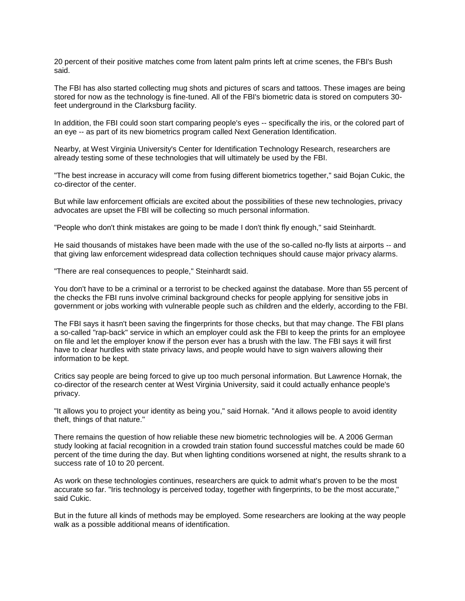20 percent of their positive matches come from latent palm prints left at crime scenes, the FBI's Bush said.

The FBI has also started collecting mug shots and pictures of scars and tattoos. These images are being stored for now as the technology is fine-tuned. All of the FBI's biometric data is stored on computers 30 feet underground in the Clarksburg facility.

In addition, the FBI could soon start comparing people's eyes -- specifically the iris, or the colored part of an eye -- as part of its new biometrics program called Next Generation Identification.

Nearby, at West Virginia University's Center for Identification Technology Research, researchers are already testing some of these technologies that will ultimately be used by the FBI.

"The best increase in accuracy will come from fusing different biometrics together," said Bojan Cukic, the co-director of the center.

But while law enforcement officials are excited about the possibilities of these new technologies, privacy advocates are upset the FBI will be collecting so much personal information.

"People who don't think mistakes are going to be made I don't think fly enough," said Steinhardt.

He said thousands of mistakes have been made with the use of the so-called no-fly lists at airports -- and that giving law enforcement widespread data collection techniques should cause major privacy alarms.

"There are real consequences to people," Steinhardt said.

You don't have to be a criminal or a terrorist to be checked against the database. More than 55 percent of the checks the FBI runs involve criminal background checks for people applying for sensitive jobs in government or jobs working with vulnerable people such as children and the elderly, according to the FBI.

The FBI says it hasn't been saving the fingerprints for those checks, but that may change. The FBI plans a so-called "rap-back" service in which an employer could ask the FBI to keep the prints for an employee on file and let the employer know if the person ever has a brush with the law. The FBI says it will first have to clear hurdles with state privacy laws, and people would have to sign waivers allowing their information to be kept.

Critics say people are being forced to give up too much personal information. But Lawrence Hornak, the co-director of the research center at West Virginia University, said it could actually enhance people's privacy.

"It allows you to project your identity as being you," said Hornak. "And it allows people to avoid identity theft, things of that nature."

There remains the question of how reliable these new biometric technologies will be. A 2006 German study looking at facial recognition in a crowded train station found successful matches could be made 60 percent of the time during the day. But when lighting conditions worsened at night, the results shrank to a success rate of 10 to 20 percent.

As work on these technologies continues, researchers are quick to admit what's proven to be the most accurate so far. "Iris technology is perceived today, together with fingerprints, to be the most accurate," said Cukic.

But in the future all kinds of methods may be employed. Some researchers are looking at the way people walk as a possible additional means of identification.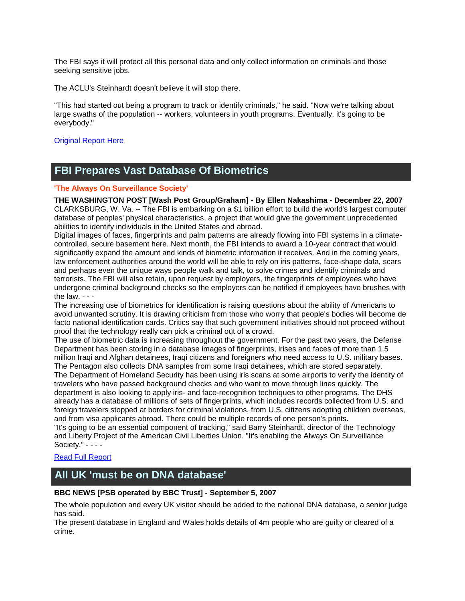The FBI says it will protect all this personal data and only collect information on criminals and those seeking sensitive jobs.

The ACLU's Steinhardt doesn't believe it will stop there.

"This had started out being a program to track or identify criminals," he said. "Now we're talking about large swaths of the population -- workers, volunteers in youth programs. Eventually, it's going to be everybody."

### [Original Report Here](http://rs6.net/tn.jsp?e=001R8_aBgaZGCbXZc8agftOjbGm_eGL0c7mvBNJDdq2v-c_4qZBD1ci6ePxu58IVIJ-uwtRG7UUrslLdWxCmjBbynjFubue8_YwwRqBz6HeCxV1bEvt5AevKZwBQ2eecOR3rlq9GM6GOQIQKadVTpiC8FSmr1QDs-uy)

### **FBI Prepares Vast Database Of Biometrics**

### **'The Always On Surveillance Society'**

**THE WASHINGTON POST [Wash Post Group/Graham] - By Ellen Nakashima - December 22, 2007** CLARKSBURG, W. Va. -- The FBI is embarking on a \$1 billion effort to build the world's largest computer database of peoples' physical characteristics, a project that would give the government unprecedented abilities to identify individuals in the United States and abroad.

Digital images of faces, fingerprints and palm patterns are already flowing into FBI systems in a climatecontrolled, secure basement here. Next month, the FBI intends to award a 10-year contract that would significantly expand the amount and kinds of biometric information it receives. And in the coming years, law enforcement authorities around the world will be able to rely on iris patterns, face-shape data, scars and perhaps even the unique ways people walk and talk, to solve crimes and identify criminals and terrorists. The FBI will also retain, upon request by employers, the fingerprints of employees who have undergone criminal background checks so the employers can be notified if employees have brushes with the law. - - -

The increasing use of biometrics for identification is raising questions about the ability of Americans to avoid unwanted scrutiny. It is drawing criticism from those who worry that people's bodies will become de facto national identification cards. Critics say that such government initiatives should not proceed without proof that the technology really can pick a criminal out of a crowd.

The use of biometric data is increasing throughout the government. For the past two years, the Defense Department has been storing in a database images of fingerprints, irises and faces of more than 1.5 million Iraqi and Afghan detainees, Iraqi citizens and foreigners who need access to U.S. military bases. The Pentagon also collects DNA samples from some Iraqi detainees, which are stored separately. The Department of Homeland Security has been using iris scans at some airports to verify the identity of travelers who have passed background checks and who want to move through lines quickly. The department is also looking to apply iris- and face-recognition techniques to other programs. The DHS already has a database of millions of sets of fingerprints, which includes records collected from U.S. and foreign travelers stopped at borders for criminal violations, from U.S. citizens adopting children overseas, and from visa applicants abroad. There could be multiple records of one person's prints.

"It's going to be an essential component of tracking," said Barry Steinhardt, director of the Technology and Liberty Project of the American Civil Liberties Union. "It's enabling the Always On Surveillance Society." - - - -

### [Read Full Report](http://rs6.net/tn.jsp?e=001R8_aBgaZGCaLE8OGbfOgnrcvVT4ogjoJFtSpWeDGkmWQNjA3_XA1ZN0t3tnPfIZulz1f7xKv0NJCDEOOyq-fGQe0Ir8pOkXw2bvYr6k25SPnyHr2PLqSP8cFwPB386TXHUZReYRbeLxa5_Hv4lGYnnQS4b1opvaYj__2A7TgqpwMgcpWIv6lKRezR-J0LdCiGd6CXPydAPpl4v7qZLNYiA==)

### **All UK 'must be on DNA database'**

### **BBC NEWS [PSB operated by BBC Trust] - September 5, 2007**

The whole population and every UK visitor should be added to the national DNA database, a senior judge has said.

The present database in England and Wales holds details of 4m people who are guilty or cleared of a crime.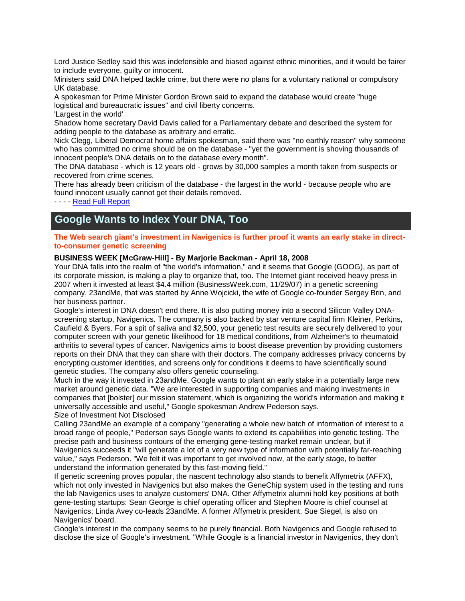Lord Justice Sedley said this was indefensible and biased against ethnic minorities, and it would be fairer to include everyone, guilty or innocent.

Ministers said DNA helped tackle crime, but there were no plans for a voluntary national or compulsory UK database.

A spokesman for Prime Minister Gordon Brown said to expand the database would create "huge logistical and bureaucratic issues" and civil liberty concerns.

'Largest in the world'

Shadow home secretary David Davis called for a Parliamentary debate and described the system for adding people to the database as arbitrary and erratic.

Nick Clegg, Liberal Democrat home affairs spokesman, said there was "no earthly reason" why someone who has committed no crime should be on the database - "yet the government is shoving thousands of innocent people's DNA details on to the database every month".

The DNA database - which is 12 years old - grows by 30,000 samples a month taken from suspects or recovered from crime scenes.

There has already been criticism of the database - the largest in the world - because people who are found innocent usually cannot get their details removed.

- - - - [Read Full Report](http://rs6.net/tn.jsp?e=001R8_aBgaZGCbPz0bLw7Sb-j9eBsIhV7zIUyzXHXfQ-cfrBYw-0ix5p4tV13BIS35nA4s-5FBH0S9KaNlC_-pCpo3PYJh5pd3Rih4hC6dwpN5_4ImcqNi91A_Uj_4box27pAZUfpmJAWHEpylvUqqFSE-vtvtaQF2H35iUdcDRQfAgDXQBMhOCrlZfl7KJdZ5_f-vMNxO7jhUn-QzDMXsOTw==)

# **Google Wants to Index Your DNA, Too**

**The Web search giant's investment in Navigenics is further proof it wants an early stake in directto-consumer genetic screening**

### **BUSINESS WEEK [McGraw-Hill] - By Marjorie Backman - April 18, 2008**

Your DNA falls into the realm of "the world's information," and it seems that Google (GOOG), as part of its corporate mission, is making a play to organize that, too. The Internet giant received heavy press in 2007 when it invested at least \$4.4 million (BusinessWeek.com, 11/29/07) in a genetic screening company, 23andMe, that was started by Anne Wojcicki, the wife of Google co-founder Sergey Brin, and her business partner.

Google's interest in DNA doesn't end there. It is also putting money into a second Silicon Valley DNAscreening startup, Navigenics. The company is also backed by star venture capital firm Kleiner, Perkins, Caufield & Byers. For a spit of saliva and \$2,500, your genetic test results are securely delivered to your computer screen with your genetic likelihood for 18 medical conditions, from Alzheimer's to rheumatoid arthritis to several types of cancer. Navigenics aims to boost disease prevention by providing customers reports on their DNA that they can share with their doctors. The company addresses privacy concerns by encrypting customer identities, and screens only for conditions it deems to have scientifically sound genetic studies. The company also offers genetic counseling.

Much in the way it invested in 23andMe, Google wants to plant an early stake in a potentially large new market around genetic data. "We are interested in supporting companies and making investments in companies that [bolster] our mission statement, which is organizing the world's information and making it universally accessible and useful," Google spokesman Andrew Pederson says.

Size of Investment Not Disclosed

Calling 23andMe an example of a company "generating a whole new batch of information of interest to a broad range of people," Pederson says Google wants to extend its capabilities into genetic testing. The precise path and business contours of the emerging gene-testing market remain unclear, but if Navigenics succeeds it "will generate a lot of a very new type of information with potentially far-reaching value," says Pederson. "We felt it was important to get involved now, at the early stage, to better understand the information generated by this fast-moving field."

If genetic screening proves popular, the nascent technology also stands to benefit Affymetrix (AFFX), which not only invested in Navigenics but also makes the GeneChip system used in the testing and runs the lab Navigenics uses to analyze customers' DNA. Other Affymetrix alumni hold key positions at both gene-testing startups: Sean George is chief operating officer and Stephen Moore is chief counsel at Navigenics; Linda Avey co-leads 23andMe. A former Affymetrix president, Sue Siegel, is also on Navigenics' board.

Google's interest in the company seems to be purely financial. Both Navigenics and Google refused to disclose the size of Google's investment. "While Google is a financial investor in Navigenics, they don't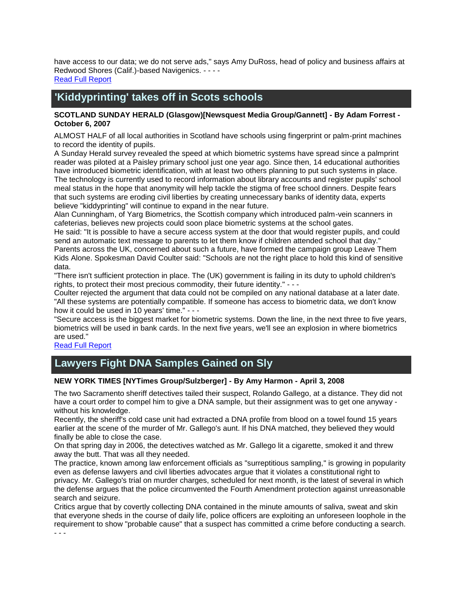have access to our data; we do not serve ads," says Amy DuRoss, head of policy and business affairs at Redwood Shores (Calif.)-based Navigenics. - - - - [Read Full Report](http://rs6.net/tn.jsp?e=001R8_aBgaZGCYpZxVZQWiFTBXpBRxB9c4Yp5brRvsirHx4sW2n32rJLIMZ5ZYxbKAS-XGeHT4FPCB5Zk6u69Z0SH-odi85QIqm64e8N0c-unynGvfng4XQChvngpj8FMfsH59bId_WJEiTzmRwrqnvByOrzswOBrOrkYhxnojNqXfYtsEHnjLWpT0x2eDI9VgVjaZIGvi0FF_nZvkZlisKAwDS3ElLBcn6b-k03yMhbi8=)

# **'Kiddyprinting' takes off in Scots schools**

### **SCOTLAND SUNDAY HERALD (Glasgow)[Newsquest Media Group/Gannett] - By Adam Forrest - October 6, 2007**

ALMOST HALF of all local authorities in Scotland have schools using fingerprint or palm-print machines to record the identity of pupils.

A Sunday Herald survey revealed the speed at which biometric systems have spread since a palmprint reader was piloted at a Paisley primary school just one year ago. Since then, 14 educational authorities have introduced biometric identification, with at least two others planning to put such systems in place. The technology is currently used to record information about library accounts and register pupils' school meal status in the hope that anonymity will help tackle the stigma of free school dinners. Despite fears that such systems are eroding civil liberties by creating unnecessary banks of identity data, experts believe "kiddyprinting" will continue to expand in the near future.

Alan Cunningham, of Yarg Biometrics, the Scottish company which introduced palm-vein scanners in cafeterias, believes new projects could soon place biometric systems at the school gates.

He said: "It is possible to have a secure access system at the door that would register pupils, and could send an automatic text message to parents to let them know if children attended school that day."

Parents across the UK, concerned about such a future, have formed the campaign group Leave Them Kids Alone. Spokesman David Coulter said: "Schools are not the right place to hold this kind of sensitive data.

"There isn't sufficient protection in place. The (UK) government is failing in its duty to uphold children's rights, to protect their most precious commodity, their future identity." - - -

Coulter rejected the argument that data could not be compiled on any national database at a later date. "All these systems are potentially compatible. If someone has access to biometric data, we don't know how it could be used in 10 years' time." - - -

"Secure access is the biggest market for biometric systems. Down the line, in the next three to five years, biometrics will be used in bank cards. In the next five years, we'll see an explosion in where biometrics are used."

[Read Full Report](http://rs6.net/tn.jsp?e=001R8_aBgaZGCa77yLcAL6b_COTpN7_xn8HmbxnGSxJz3mnY3HZ1DQ-kamq2NPV4Y_qFCz6fsMHYdVBgcAE5VegJ8t4gZuz9HGO8sm4tr3Lswbia32NqgK8lWRlddEabsmsYIMTtF7PsKvkML71Xt-zms8Ozgru053v2_P-oxf3efpU9hEi2-KzxxTBJ53qpeXtkrgo2ckUHVGAVxSY6fUlJJCnHp9ep2M9ijjI0UVAH0s=)

# **Lawyers Fight DNA Samples Gained on Sly**

### **NEW YORK TIMES [NYTimes Group/Sulzberger] - By Amy Harmon - April 3, 2008**

The two Sacramento sheriff detectives tailed their suspect, Rolando Gallego, at a distance. They did not have a court order to compel him to give a DNA sample, but their assignment was to get one anyway without his knowledge.

Recently, the sheriff's cold case unit had extracted a DNA profile from blood on a towel found 15 years earlier at the scene of the murder of Mr. Gallego's aunt. If his DNA matched, they believed they would finally be able to close the case.

On that spring day in 2006, the detectives watched as Mr. Gallego lit a cigarette, smoked it and threw away the butt. That was all they needed.

The practice, known among law enforcement officials as "surreptitious sampling," is growing in popularity even as defense lawyers and civil liberties advocates argue that it violates a constitutional right to privacy. Mr. Gallego's trial on murder charges, scheduled for next month, is the latest of several in which the defense argues that the police circumvented the Fourth Amendment protection against unreasonable search and seizure.

Critics argue that by covertly collecting DNA contained in the minute amounts of saliva, sweat and skin that everyone sheds in the course of daily life, police officers are exploiting an unforeseen loophole in the requirement to show "probable cause" that a suspect has committed a crime before conducting a search. - - -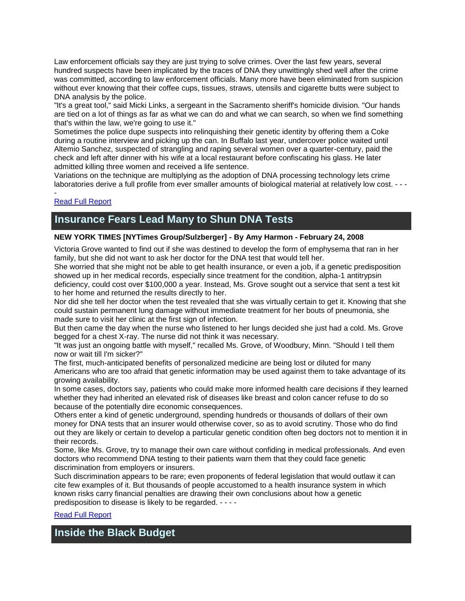Law enforcement officials say they are just trying to solve crimes. Over the last few years, several hundred suspects have been implicated by the traces of DNA they unwittingly shed well after the crime was committed, according to law enforcement officials. Many more have been eliminated from suspicion without ever knowing that their coffee cups, tissues, straws, utensils and cigarette butts were subject to DNA analysis by the police.

"It's a great tool," said Micki Links, a sergeant in the Sacramento sheriff's homicide division. "Our hands are tied on a lot of things as far as what we can do and what we can search, so when we find something that's within the law, we're going to use it."

Sometimes the police dupe suspects into relinquishing their genetic identity by offering them a Coke during a routine interview and picking up the can. In Buffalo last year, undercover police waited until Altemio Sanchez, suspected of strangling and raping several women over a quarter-century, paid the check and left after dinner with his wife at a local restaurant before confiscating his glass. He later admitted killing three women and received a life sentence.

Variations on the technique are multiplying as the adoption of DNA processing technology lets crime laboratories derive a full profile from ever smaller amounts of biological material at relatively low cost. - - -

### [Read Full Report](http://rs6.net/tn.jsp?e=001R8_aBgaZGCZgUWewxOGE7qGRsY0oK61pln-VTh2mD3SSqadEhrRCrsPosxW5GrUozFiUG9Ku-5tjhyAP9-oF5wy66AQCmULs2lvhvjN2c7cSfVdaqjzKkQ6T1mQySj-B-9u7SG6fd4Gi-jxohQrIxApK-R-2ETfzLBdvYlC-iJjdryVfgYxQe9Hl0PnIxauOqY-_Fp4s5K5-OZ0MIMg1og5r-9D4b6eWepHysQTi9I8Yo8aZPkpZQJ5lPKL-Ylq5W9XfB2X2FGp2QQ9bphxeAfZK5NwnqaK1)

-

### **Insurance Fears Lead Many to Shun DNA Tests**

### **NEW YORK TIMES [NYTimes Group/Sulzberger] - By Amy Harmon - February 24, 2008**

Victoria Grove wanted to find out if she was destined to develop the form of emphysema that ran in her family, but she did not want to ask her doctor for the DNA test that would tell her.

She worried that she might not be able to get health insurance, or even a job, if a genetic predisposition showed up in her medical records, especially since treatment for the condition, alpha-1 antitrypsin deficiency, could cost over \$100,000 a year. Instead, Ms. Grove sought out a service that sent a test kit to her home and returned the results directly to her.

Nor did she tell her doctor when the test revealed that she was virtually certain to get it. Knowing that she could sustain permanent lung damage without immediate treatment for her bouts of pneumonia, she made sure to visit her clinic at the first sign of infection.

But then came the day when the nurse who listened to her lungs decided she just had a cold. Ms. Grove begged for a chest X-ray. The nurse did not think it was necessary.

"It was just an ongoing battle with myself," recalled Ms. Grove, of Woodbury, Minn. "Should I tell them now or wait till I'm sicker?"

The first, much-anticipated benefits of personalized medicine are being lost or diluted for many Americans who are too afraid that genetic information may be used against them to take advantage of its growing availability.

In some cases, doctors say, patients who could make more informed health care decisions if they learned whether they had inherited an elevated risk of diseases like breast and colon cancer refuse to do so because of the potentially dire economic consequences.

Others enter a kind of genetic underground, spending hundreds or thousands of dollars of their own money for DNA tests that an insurer would otherwise cover, so as to avoid scrutiny. Those who do find out they are likely or certain to develop a particular genetic condition often beg doctors not to mention it in their records.

Some, like Ms. Grove, try to manage their own care without confiding in medical professionals. And even doctors who recommend DNA testing to their patients warn them that they could face genetic discrimination from employers or insurers.

Such discrimination appears to be rare; even proponents of federal legislation that would outlaw it can cite few examples of it. But thousands of people accustomed to a health insurance system in which known risks carry financial penalties are drawing their own conclusions about how a genetic predisposition to disease is likely to be regarded. - - - -

### [Read Full Report](http://rs6.net/tn.jsp?e=001R8_aBgaZGCZRqMB5OgmwjrL79MDxf-Mbv1jJr9LxtcX4TRi_0w-M_SyvTLK9CgBxeVkvNkLtA8wxRY-4y1u1L9SQeH6_eNFMgISM023njc6w2YAEXFoQYbCjDLcVHGPWFFaeCesLDcB2o_RjEkne6fZ1_VjyWBIlGe_Tc2ZlpckfnPLDtFisVQ==)

# **Inside the Black Budget**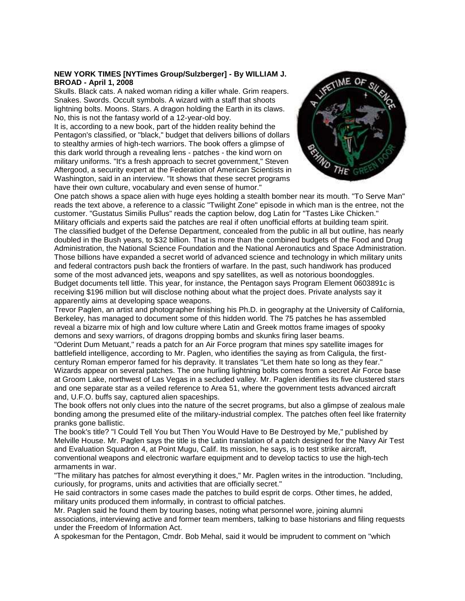### **NEW YORK TIMES [NYTimes Group/Sulzberger] - By WILLIAM J. BROAD - April 1, 2008**

Skulls. Black cats. A naked woman riding a killer whale. Grim reapers. Snakes. Swords. Occult symbols. A wizard with a staff that shoots lightning bolts. Moons. Stars. A dragon holding the Earth in its claws. No, this is not the fantasy world of a 12-year-old boy.

It is, according to a new book, part of the hidden reality behind the Pentagon's classified, or "black," budget that delivers billions of dollars to stealthy armies of high-tech warriors. The book offers a glimpse of this dark world through a revealing lens - patches - the kind worn on military uniforms. "It's a fresh approach to secret government," Steven Aftergood, a security expert at the Federation of American Scientists in Washington, said in an interview. "It shows that these secret programs have their own culture, vocabulary and even sense of humor."



One patch shows a space alien with huge eyes holding a stealth bomber near its mouth. "To Serve Man" reads the text above, a reference to a classic "Twilight Zone" episode in which man is the entree, not the customer. "Gustatus Similis Pullus" reads the caption below, dog Latin for "Tastes Like Chicken." Military officials and experts said the patches are real if often unofficial efforts at building team spirit. The classified budget of the Defense Department, concealed from the public in all but outline, has nearly doubled in the Bush years, to \$32 billion. That is more than the combined budgets of the Food and Drug Administration, the National Science Foundation and the National Aeronautics and Space Administration. Those billions have expanded a secret world of advanced science and technology in which military units and federal contractors push back the frontiers of warfare. In the past, such handiwork has produced some of the most advanced jets, weapons and spy satellites, as well as notorious boondoggles. Budget documents tell little. This year, for instance, the Pentagon says Program Element 0603891c is receiving \$196 million but will disclose nothing about what the project does. Private analysts say it apparently aims at developing space weapons.

Trevor Paglen, an artist and photographer finishing his Ph.D. in geography at the University of California, Berkeley, has managed to document some of this hidden world. The 75 patches he has assembled reveal a bizarre mix of high and low culture where Latin and Greek mottos frame images of spooky demons and sexy warriors, of dragons dropping bombs and skunks firing laser beams.

"Oderint Dum Metuant," reads a patch for an Air Force program that mines spy satellite images for battlefield intelligence, according to Mr. Paglen, who identifies the saying as from Caligula, the firstcentury Roman emperor famed for his depravity. It translates "Let them hate so long as they fear." Wizards appear on several patches. The one hurling lightning bolts comes from a secret Air Force base at Groom Lake, northwest of Las Vegas in a secluded valley. Mr. Paglen identifies its five clustered stars and one separate star as a veiled reference to Area 51, where the government tests advanced aircraft and, U.F.O. buffs say, captured alien spaceships.

The book offers not only clues into the nature of the secret programs, but also a glimpse of zealous male bonding among the presumed elite of the military-industrial complex. The patches often feel like fraternity pranks gone ballistic.

The book's title? "I Could Tell You but Then You Would Have to Be Destroyed by Me," published by Melville House. Mr. Paglen says the title is the Latin translation of a patch designed for the Navy Air Test and Evaluation Squadron 4, at Point Mugu, Calif. Its mission, he says, is to test strike aircraft, conventional weapons and electronic warfare equipment and to develop tactics to use the high-tech armaments in war.

"The military has patches for almost everything it does," Mr. Paglen writes in the introduction. "Including, curiously, for programs, units and activities that are officially secret."

He said contractors in some cases made the patches to build esprit de corps. Other times, he added, military units produced them informally, in contrast to official patches.

Mr. Paglen said he found them by touring bases, noting what personnel wore, joining alumni associations, interviewing active and former team members, talking to base historians and filing requests under the Freedom of Information Act.

A spokesman for the Pentagon, Cmdr. Bob Mehal, said it would be imprudent to comment on "which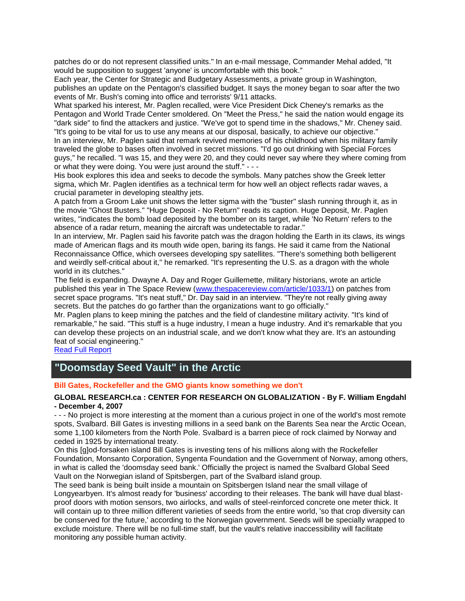patches do or do not represent classified units." In an e-mail message, Commander Mehal added, "It would be supposition to suggest 'anyone' is uncomfortable with this book."

Each year, the Center for Strategic and Budgetary Assessments, a private group in Washington, publishes an update on the Pentagon's classified budget. It says the money began to soar after the two events of Mr. Bush's coming into office and terrorists' 9/11 attacks.

What sparked his interest, Mr. Paglen recalled, were Vice President Dick Cheney's remarks as the Pentagon and World Trade Center smoldered. On "Meet the Press," he said the nation would engage its "dark side" to find the attackers and justice. "We've got to spend time in the shadows," Mr. Cheney said. "It's going to be vital for us to use any means at our disposal, basically, to achieve our objective."

In an interview, Mr. Paglen said that remark revived memories of his childhood when his military family traveled the globe to bases often involved in secret missions. "I'd go out drinking with Special Forces guys," he recalled. "I was 15, and they were 20, and they could never say where they where coming from or what they were doing. You were just around the stuff." - - -

His book explores this idea and seeks to decode the symbols. Many patches show the Greek letter sigma, which Mr. Paglen identifies as a technical term for how well an object reflects radar waves, a crucial parameter in developing stealthy jets.

A patch from a Groom Lake unit shows the letter sigma with the "buster" slash running through it, as in the movie "Ghost Busters." "Huge Deposit - No Return" reads its caption. Huge Deposit, Mr. Paglen writes, "indicates the bomb load deposited by the bomber on its target, while 'No Return' refers to the absence of a radar return, meaning the aircraft was undetectable to radar."

In an interview, Mr. Paglen said his favorite patch was the dragon holding the Earth in its claws, its wings made of American flags and its mouth wide open, baring its fangs. He said it came from the National Reconnaissance Office, which oversees developing spy satellites. "There's something both belligerent and weirdly self-critical about it," he remarked. "It's representing the U.S. as a dragon with the whole world in its clutches."

The field is expanding. Dwayne A. Day and Roger Guillemette, military historians, wrote an article published this year in The Space Review [\(www.thespacereview.com/article/1033/1\)](http://rs6.net/tn.jsp?e=001R8_aBgaZGCbekDR53OwA-OAvXmFzpxeRMMbsf6ukIRpCpeqwRqgXjsSkSUKpUzwGbrG7Jp3ae6UwwYE1nG8feqiFDhaRBhlrrunYvgY5aeU3QDidDroKGJfTnQp_CfN9nGJTesmLo49o4XSaaTirlA==) on patches from secret space programs. "It's neat stuff," Dr. Day said in an interview. "They're not really giving away secrets. But the patches do go farther than the organizations want to go officially."

Mr. Paglen plans to keep mining the patches and the field of clandestine military activity. "It's kind of remarkable," he said. "This stuff is a huge industry, I mean a huge industry. And it's remarkable that you can develop these projects on an industrial scale, and we don't know what they are. It's an astounding feat of social engineering."

[Read Full Report](http://rs6.net/tn.jsp?e=001R8_aBgaZGCat3hM06P8PDWOZKS1UyhahF4LznuceNsTpAdWbRAo05N8EsebPXNRaMZEpZkZIMKGM64ieFE6u1oBa1tiQhRrpipSdlzjxbSD4aXoDrXwa46fREnyDfyyZhQISG4_X6BiJSHCLrEGrNGm2Vj1YEQTI5Oukmyd0grxXPrnJh4tmkRmBpxky4IGyP1Yu8rfBCCrOcQHmbPOBxqCq6w-OaTtxvafRBY0ENMo43tLo8USvrgNPq-KTY2hCisWEXVjoQ7thLe3r5Rl6-a3G1vyzw-U7)

# **"Doomsday Seed Vault" in the Arctic**

### **Bill Gates, Rockefeller and the GMO giants know something we don't**

### **GLOBAL RESEARCH.ca : CENTER FOR RESEARCH ON GLOBALIZATION - By F. William Engdahl - December 4, 2007**

- - - No project is more interesting at the moment than a curious project in one of the world's most remote spots, Svalbard. Bill Gates is investing millions in a seed bank on the Barents Sea near the Arctic Ocean, some 1,100 kilometers from the North Pole. Svalbard is a barren piece of rock claimed by Norway and ceded in 1925 by international treaty.

On this [g]od-forsaken island Bill Gates is investing tens of his millions along with the Rockefeller Foundation, Monsanto Corporation, Syngenta Foundation and the Government of Norway, among others, in what is called the 'doomsday seed bank.' Officially the project is named the Svalbard Global Seed Vault on the Norwegian island of Spitsbergen, part of the Svalbard island group.

The seed bank is being built inside a mountain on Spitsbergen Island near the small village of Longyearbyen. It's almost ready for 'business' according to their releases. The bank will have dual blastproof doors with motion sensors, two airlocks, and walls of steel-reinforced concrete one meter thick. It will contain up to three million different varieties of seeds from the entire world, 'so that crop diversity can be conserved for the future,' according to the Norwegian government. Seeds will be specially wrapped to exclude moisture. There will be no full-time staff, but the vault's relative inaccessibility will facilitate monitoring any possible human activity.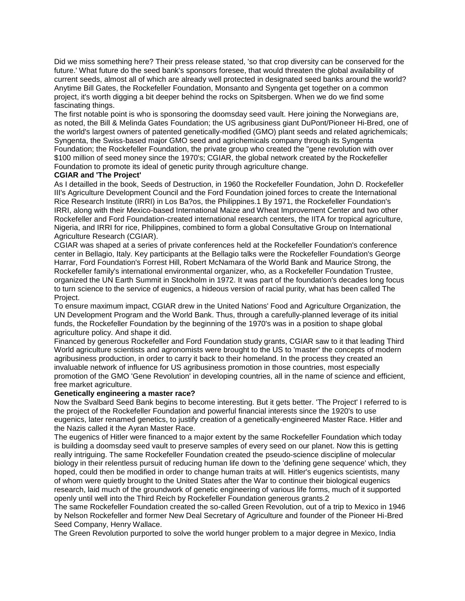Did we miss something here? Their press release stated, 'so that crop diversity can be conserved for the future.' What future do the seed bank's sponsors foresee, that would threaten the global availability of current seeds, almost all of which are already well protected in designated seed banks around the world? Anytime Bill Gates, the Rockefeller Foundation, Monsanto and Syngenta get together on a common project, it's worth digging a bit deeper behind the rocks on Spitsbergen. When we do we find some fascinating things.

The first notable point is who is sponsoring the doomsday seed vault. Here joining the Norwegians are, as noted, the Bill & Melinda Gates Foundation; the US agribusiness giant DuPont/Pioneer Hi-Bred, one of the world's largest owners of patented genetically-modified (GMO) plant seeds and related agrichemicals; Syngenta, the Swiss-based major GMO seed and agrichemicals company through its Syngenta Foundation; the Rockefeller Foundation, the private group who created the "gene revolution with over \$100 million of seed money since the 1970's; CGIAR, the global network created by the Rockefeller Foundation to promote its ideal of genetic purity through agriculture change.

### **CGIAR and 'The Project'**

As I detailled in the book, Seeds of Destruction, in 1960 the Rockefeller Foundation, John D. Rockefeller III's Agriculture Development Council and the Ford Foundation joined forces to create the International Rice Research Institute (IRRI) in Los Ba?os, the Philippines.1 By 1971, the Rockefeller Foundation's IRRI, along with their Mexico-based International Maize and Wheat Improvement Center and two other Rockefeller and Ford Foundation-created international research centers, the IITA for tropical agriculture, Nigeria, and IRRI for rice, Philippines, combined to form a global Consultative Group on International Agriculture Research (CGIAR).

CGIAR was shaped at a series of private conferences held at the Rockefeller Foundation's conference center in Bellagio, Italy. Key participants at the Bellagio talks were the Rockefeller Foundation's George Harrar, Ford Foundation's Forrest Hill, Robert McNamara of the World Bank and Maurice Strong, the Rockefeller family's international environmental organizer, who, as a Rockefeller Foundation Trustee, organized the UN Earth Summit in Stockholm in 1972. It was part of the foundation's decades long focus to turn science to the service of eugenics, a hideous version of racial purity, what has been called The Project.

To ensure maximum impact, CGIAR drew in the United Nations' Food and Agriculture Organization, the UN Development Program and the World Bank. Thus, through a carefully-planned leverage of its initial funds, the Rockefeller Foundation by the beginning of the 1970's was in a position to shape global agriculture policy. And shape it did.

Financed by generous Rockefeller and Ford Foundation study grants, CGIAR saw to it that leading Third World agriculture scientists and agronomists were brought to the US to 'master' the concepts of modern agribusiness production, in order to carry it back to their homeland. In the process they created an invaluable network of influence for US agribusiness promotion in those countries, most especially promotion of the GMO 'Gene Revolution' in developing countries, all in the name of science and efficient, free market agriculture.

#### **Genetically engineering a master race?**

Now the Svalbard Seed Bank begins to become interesting. But it gets better. 'The Project' I referred to is the project of the Rockefeller Foundation and powerful financial interests since the 1920's to use eugenics, later renamed genetics, to justify creation of a genetically-engineered Master Race. Hitler and the Nazis called it the Ayran Master Race.

The eugenics of Hitler were financed to a major extent by the same Rockefeller Foundation which today is building a doomsday seed vault to preserve samples of every seed on our planet. Now this is getting really intriguing. The same Rockefeller Foundation created the pseudo-science discipline of molecular biology in their relentless pursuit of reducing human life down to the 'defining gene sequence' which, they hoped, could then be modified in order to change human traits at will. Hitler's eugenics scientists, many of whom were quietly brought to the United States after the War to continue their biological eugenics research, laid much of the groundwork of genetic engineering of various life forms, much of it supported openly until well into the Third Reich by Rockefeller Foundation generous grants.2

The same Rockefeller Foundation created the so-called Green Revolution, out of a trip to Mexico in 1946 by Nelson Rockefeller and former New Deal Secretary of Agriculture and founder of the Pioneer Hi-Bred Seed Company, Henry Wallace.

The Green Revolution purported to solve the world hunger problem to a major degree in Mexico, India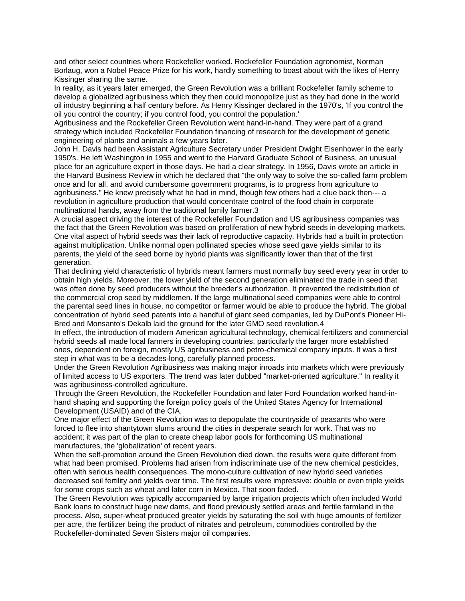and other select countries where Rockefeller worked. Rockefeller Foundation agronomist, Norman Borlaug, won a Nobel Peace Prize for his work, hardly something to boast about with the likes of Henry Kissinger sharing the same.

In reality, as it years later emerged, the Green Revolution was a brilliant Rockefeller family scheme to develop a globalized agribusiness which they then could monopolize just as they had done in the world oil industry beginning a half century before. As Henry Kissinger declared in the 1970's, 'If you control the oil you control the country; if you control food, you control the population.'

Agribusiness and the Rockefeller Green Revolution went hand-in-hand. They were part of a grand strategy which included Rockefeller Foundation financing of research for the development of genetic engineering of plants and animals a few years later.

John H. Davis had been Assistant Agriculture Secretary under President Dwight Eisenhower in the early 1950's. He left Washington in 1955 and went to the Harvard Graduate School of Business, an unusual place for an agriculture expert in those days. He had a clear strategy. In 1956, Davis wrote an article in the Harvard Business Review in which he declared that "the only way to solve the so-called farm problem once and for all, and avoid cumbersome government programs, is to progress from agriculture to agribusiness." He knew precisely what he had in mind, though few others had a clue back then--- a revolution in agriculture production that would concentrate control of the food chain in corporate multinational hands, away from the traditional family farmer.3

A crucial aspect driving the interest of the Rockefeller Foundation and US agribusiness companies was the fact that the Green Revolution was based on proliferation of new hybrid seeds in developing markets. One vital aspect of hybrid seeds was their lack of reproductive capacity. Hybrids had a built in protection against multiplication. Unlike normal open pollinated species whose seed gave yields similar to its parents, the yield of the seed borne by hybrid plants was significantly lower than that of the first generation.

That declining yield characteristic of hybrids meant farmers must normally buy seed every year in order to obtain high yields. Moreover, the lower yield of the second generation eliminated the trade in seed that was often done by seed producers without the breeder's authorization. It prevented the redistribution of the commercial crop seed by middlemen. If the large multinational seed companies were able to control the parental seed lines in house, no competitor or farmer would be able to produce the hybrid. The global concentration of hybrid seed patents into a handful of giant seed companies, led by DuPont's Pioneer Hi-Bred and Monsanto's Dekalb laid the ground for the later GMO seed revolution.4

In effect, the introduction of modern American agricultural technology, chemical fertilizers and commercial hybrid seeds all made local farmers in developing countries, particularly the larger more established ones, dependent on foreign, mostly US agribusiness and petro-chemical company inputs. It was a first step in what was to be a decades-long, carefully planned process.

Under the Green Revolution Agribusiness was making major inroads into markets which were previously of limited access to US exporters. The trend was later dubbed "market-oriented agriculture." In reality it was agribusiness-controlled agriculture.

Through the Green Revolution, the Rockefeller Foundation and later Ford Foundation worked hand-inhand shaping and supporting the foreign policy goals of the United States Agency for International Development (USAID) and of the CIA.

One major effect of the Green Revolution was to depopulate the countryside of peasants who were forced to flee into shantytown slums around the cities in desperate search for work. That was no accident; it was part of the plan to create cheap labor pools for forthcoming US multinational manufactures, the 'globalization' of recent years.

When the self-promotion around the Green Revolution died down, the results were quite different from what had been promised. Problems had arisen from indiscriminate use of the new chemical pesticides, often with serious health consequences. The mono-culture cultivation of new hybrid seed varieties decreased soil fertility and yields over time. The first results were impressive: double or even triple yields for some crops such as wheat and later corn in Mexico. That soon faded.

The Green Revolution was typically accompanied by large irrigation projects which often included World Bank loans to construct huge new dams, and flood previously settled areas and fertile farmland in the process. Also, super-wheat produced greater yields by saturating the soil with huge amounts of fertilizer per acre, the fertilizer being the product of nitrates and petroleum, commodities controlled by the Rockefeller-dominated Seven Sisters major oil companies.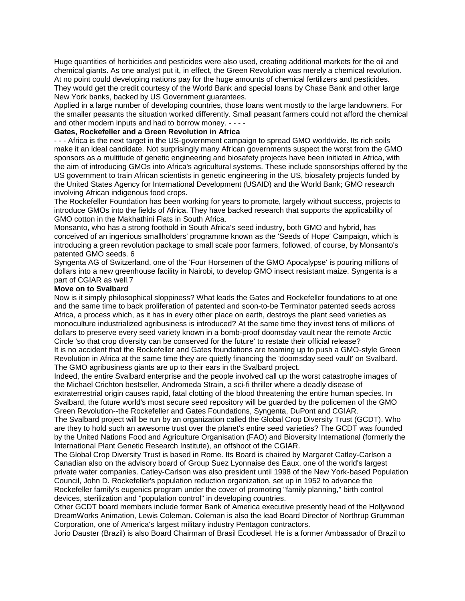Huge quantities of herbicides and pesticides were also used, creating additional markets for the oil and chemical giants. As one analyst put it, in effect, the Green Revolution was merely a chemical revolution. At no point could developing nations pay for the huge amounts of chemical fertilizers and pesticides. They would get the credit courtesy of the World Bank and special loans by Chase Bank and other large New York banks, backed by US Government guarantees.

Applied in a large number of developing countries, those loans went mostly to the large landowners. For the smaller peasants the situation worked differently. Small peasant farmers could not afford the chemical and other modern inputs and had to borrow money. - - - -

#### **Gates, Rockefeller and a Green Revolution in Africa**

- - - Africa is the next target in the US-government campaign to spread GMO worldwide. Its rich soils make it an ideal candidate. Not surprisingly many African governments suspect the worst from the GMO sponsors as a multitude of genetic engineering and biosafety projects have been initiated in Africa, with the aim of introducing GMOs into Africa's agricultural systems. These include sponsorships offered by the US government to train African scientists in genetic engineering in the US, biosafety projects funded by the United States Agency for International Development (USAID) and the World Bank; GMO research involving African indigenous food crops.

The Rockefeller Foundation has been working for years to promote, largely without success, projects to introduce GMOs into the fields of Africa. They have backed research that supports the applicability of GMO cotton in the Makhathini Flats in South Africa.

Monsanto, who has a strong foothold in South Africa's seed industry, both GMO and hybrid, has conceived of an ingenious smallholders' programme known as the 'Seeds of Hope' Campaign, which is introducing a green revolution package to small scale poor farmers, followed, of course, by Monsanto's patented GMO seeds. 6

Syngenta AG of Switzerland, one of the 'Four Horsemen of the GMO Apocalypse' is pouring millions of dollars into a new greenhouse facility in Nairobi, to develop GMO insect resistant maize. Syngenta is a part of CGIAR as well.7

### **Move on to Svalbard**

Now is it simply philosophical sloppiness? What leads the Gates and Rockefeller foundations to at one and the same time to back proliferation of patented and soon-to-be Terminator patented seeds across Africa, a process which, as it has in every other place on earth, destroys the plant seed varieties as monoculture industrialized agribusiness is introduced? At the same time they invest tens of millions of dollars to preserve every seed variety known in a bomb-proof doomsday vault near the remote Arctic Circle 'so that crop diversity can be conserved for the future' to restate their official release?

It is no accident that the Rockefeller and Gates foundations are teaming up to push a GMO-style Green Revolution in Africa at the same time they are quietly financing the 'doomsday seed vault' on Svalbard. The GMO agribusiness giants are up to their ears in the Svalbard project.

Indeed, the entire Svalbard enterprise and the people involved call up the worst catastrophe images of the Michael Crichton bestseller, Andromeda Strain, a sci-fi thriller where a deadly disease of

extraterrestrial origin causes rapid, fatal clotting of the blood threatening the entire human species. In Svalbard, the future world's most secure seed repository will be guarded by the policemen of the GMO Green Revolution--the Rockefeller and Gates Foundations, Syngenta, DuPont and CGIAR.

The Svalbard project will be run by an organization called the Global Crop Diversity Trust (GCDT). Who are they to hold such an awesome trust over the planet's entire seed varieties? The GCDT was founded by the United Nations Food and Agriculture Organisation (FAO) and Bioversity International (formerly the International Plant Genetic Research Institute), an offshoot of the CGIAR.

The Global Crop Diversity Trust is based in Rome. Its Board is chaired by Margaret Catley-Carlson a Canadian also on the advisory board of Group Suez Lyonnaise des Eaux, one of the world's largest private water companies. Catley-Carlson was also president until 1998 of the New York-based Population Council, John D. Rockefeller's population reduction organization, set up in 1952 to advance the Rockefeller family's eugenics program under the cover of promoting "family planning," birth control devices, sterilization and "population control" in developing countries.

Other GCDT board members include former Bank of America executive presently head of the Hollywood DreamWorks Animation, Lewis Coleman. Coleman is also the lead Board Director of Northrup Grumman Corporation, one of America's largest military industry Pentagon contractors.

Jorio Dauster (Brazil) is also Board Chairman of Brasil Ecodiesel. He is a former Ambassador of Brazil to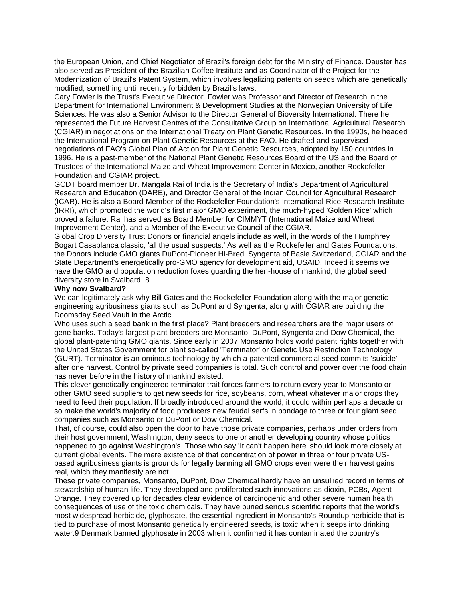the European Union, and Chief Negotiator of Brazil's foreign debt for the Ministry of Finance. Dauster has also served as President of the Brazilian Coffee Institute and as Coordinator of the Project for the Modernization of Brazil's Patent System, which involves legalizing patents on seeds which are genetically modified, something until recently forbidden by Brazil's laws.

Cary Fowler is the Trust's Executive Director. Fowler was Professor and Director of Research in the Department for International Environment & Development Studies at the Norwegian University of Life Sciences. He was also a Senior Advisor to the Director General of Bioversity International. There he represented the Future Harvest Centres of the Consultative Group on International Agricultural Research (CGIAR) in negotiations on the International Treaty on Plant Genetic Resources. In the 1990s, he headed the International Program on Plant Genetic Resources at the FAO. He drafted and supervised negotiations of FAO's Global Plan of Action for Plant Genetic Resources, adopted by 150 countries in

1996. He is a past-member of the National Plant Genetic Resources Board of the US and the Board of Trustees of the International Maize and Wheat Improvement Center in Mexico, another Rockefeller Foundation and CGIAR project.

GCDT board member Dr. Mangala Rai of India is the Secretary of India's Department of Agricultural Research and Education (DARE), and Director General of the Indian Council for Agricultural Research (ICAR). He is also a Board Member of the Rockefeller Foundation's International Rice Research Institute (IRRI), which promoted the world's first major GMO experiment, the much-hyped 'Golden Rice' which proved a failure. Rai has served as Board Member for CIMMYT (International Maize and Wheat Improvement Center), and a Member of the Executive Council of the CGIAR.

Global Crop Diversity Trust Donors or financial angels include as well, in the words of the Humphrey Bogart Casablanca classic, 'all the usual suspects.' As well as the Rockefeller and Gates Foundations, the Donors include GMO giants DuPont-Pioneer Hi-Bred, Syngenta of Basle Switzerland, CGIAR and the State Department's energetically pro-GMO agency for development aid, USAID. Indeed it seems we have the GMO and population reduction foxes guarding the hen-house of mankind, the global seed diversity store in Svalbard. 8

#### **Why now Svalbard?**

We can legitimately ask why Bill Gates and the Rockefeller Foundation along with the major genetic engineering agribusiness giants such as DuPont and Syngenta, along with CGIAR are building the Doomsday Seed Vault in the Arctic.

Who uses such a seed bank in the first place? Plant breeders and researchers are the major users of gene banks. Today's largest plant breeders are Monsanto, DuPont, Syngenta and Dow Chemical, the global plant-patenting GMO giants. Since early in 2007 Monsanto holds world patent rights together with the United States Government for plant so-called 'Terminator' or Genetic Use Restriction Technology (GURT). Terminator is an ominous technology by which a patented commercial seed commits 'suicide' after one harvest. Control by private seed companies is total. Such control and power over the food chain has never before in the history of mankind existed.

This clever genetically engineered terminator trait forces farmers to return every year to Monsanto or other GMO seed suppliers to get new seeds for rice, soybeans, corn, wheat whatever major crops they need to feed their population. If broadly introduced around the world, it could within perhaps a decade or so make the world's majority of food producers new feudal serfs in bondage to three or four giant seed companies such as Monsanto or DuPont or Dow Chemical.

That, of course, could also open the door to have those private companies, perhaps under orders from their host government, Washington, deny seeds to one or another developing country whose politics happened to go against Washington's. Those who say 'It can't happen here' should look more closely at current global events. The mere existence of that concentration of power in three or four private USbased agribusiness giants is grounds for legally banning all GMO crops even were their harvest gains real, which they manifestly are not.

These private companies, Monsanto, DuPont, Dow Chemical hardly have an unsullied record in terms of stewardship of human life. They developed and proliferated such innovations as dioxin, PCBs, Agent Orange. They covered up for decades clear evidence of carcinogenic and other severe human health consequences of use of the toxic chemicals. They have buried serious scientific reports that the world's most widespread herbicide, glyphosate, the essential ingredient in Monsanto's Roundup herbicide that is tied to purchase of most Monsanto genetically engineered seeds, is toxic when it seeps into drinking water.9 Denmark banned glyphosate in 2003 when it confirmed it has contaminated the country's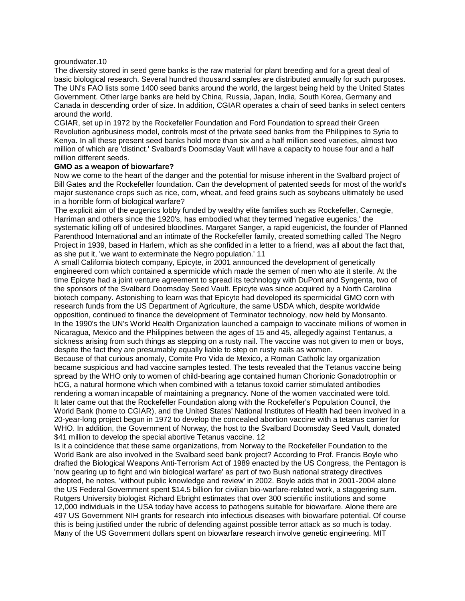### groundwater.10

The diversity stored in seed gene banks is the raw material for plant breeding and for a great deal of basic biological research. Several hundred thousand samples are distributed annually for such purposes. The UN's FAO lists some 1400 seed banks around the world, the largest being held by the United States Government. Other large banks are held by China, Russia, Japan, India, South Korea, Germany and Canada in descending order of size. In addition, CGIAR operates a chain of seed banks in select centers around the world.

CGIAR, set up in 1972 by the Rockefeller Foundation and Ford Foundation to spread their Green Revolution agribusiness model, controls most of the private seed banks from the Philippines to Syria to Kenya. In all these present seed banks hold more than six and a half million seed varieties, almost two million of which are 'distinct.' Svalbard's Doomsday Vault will have a capacity to house four and a half million different seeds.

#### **GMO as a weapon of biowarfare?**

Now we come to the heart of the danger and the potential for misuse inherent in the Svalbard project of Bill Gates and the Rockefeller foundation. Can the development of patented seeds for most of the world's major sustenance crops such as rice, corn, wheat, and feed grains such as soybeans ultimately be used in a horrible form of biological warfare?

The explicit aim of the eugenics lobby funded by wealthy elite families such as Rockefeller, Carnegie, Harriman and others since the 1920's, has embodied what they termed 'negative eugenics,' the systematic killing off of undesired bloodlines. Margaret Sanger, a rapid eugenicist, the founder of Planned Parenthood International and an intimate of the Rockefeller family, created something called The Negro Project in 1939, based in Harlem, which as she confided in a letter to a friend, was all about the fact that, as she put it, 'we want to exterminate the Negro population.' 11

A small California biotech company, Epicyte, in 2001 announced the development of genetically engineered corn which contained a spermicide which made the semen of men who ate it sterile. At the time Epicyte had a joint venture agreement to spread its technology with DuPont and Syngenta, two of the sponsors of the Svalbard Doomsday Seed Vault. Epicyte was since acquired by a North Carolina biotech company. Astonishing to learn was that Epicyte had developed its spermicidal GMO corn with research funds from the US Department of Agriculture, the same USDA which, despite worldwide opposition, continued to finance the development of Terminator technology, now held by Monsanto. In the 1990's the UN's World Health Organization launched a campaign to vaccinate millions of women in Nicaragua, Mexico and the Philippines between the ages of 15 and 45, allegedly against Tentanus, a sickness arising from such things as stepping on a rusty nail. The vaccine was not given to men or boys, despite the fact they are presumably equally liable to step on rusty nails as women.

Because of that curious anomaly, Comite Pro Vida de Mexico, a Roman Catholic lay organization became suspicious and had vaccine samples tested. The tests revealed that the Tetanus vaccine being spread by the WHO only to women of child-bearing age contained human Chorionic Gonadotrophin or hCG, a natural hormone which when combined with a tetanus toxoid carrier stimulated antibodies rendering a woman incapable of maintaining a pregnancy. None of the women vaccinated were told. It later came out that the Rockefeller Foundation along with the Rockefeller's Population Council, the World Bank (home to CGIAR), and the United States' National Institutes of Health had been involved in a 20-year-long project begun in 1972 to develop the concealed abortion vaccine with a tetanus carrier for WHO. In addition, the Government of Norway, the host to the Svalbard Doomsday Seed Vault, donated \$41 million to develop the special abortive Tetanus vaccine. 12

Is it a coincidence that these same organizations, from Norway to the Rockefeller Foundation to the World Bank are also involved in the Svalbard seed bank project? According to Prof. Francis Boyle who drafted the Biological Weapons Anti-Terrorism Act of 1989 enacted by the US Congress, the Pentagon is 'now gearing up to fight and win biological warfare' as part of two Bush national strategy directives adopted, he notes, 'without public knowledge and review' in 2002. Boyle adds that in 2001-2004 alone the US Federal Government spent \$14.5 billion for civilian bio-warfare-related work, a staggering sum. Rutgers University biologist Richard Ebright estimates that over 300 scientific institutions and some 12,000 individuals in the USA today have access to pathogens suitable for biowarfare. Alone there are 497 US Government NIH grants for research into infectious diseases with biowarfare potential. Of course this is being justified under the rubric of defending against possible terror attack as so much is today. Many of the US Government dollars spent on biowarfare research involve genetic engineering. MIT